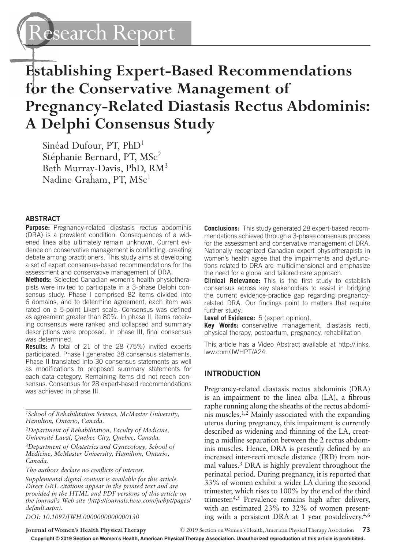Research Report

# **Establishing Expert-Based Recommendations for the Conservative Management of Pregnancy-Related Diastasis Rectus Abdominis: A Delphi Consensus Study**

Sinéad Dufour, PT, PhD1 Stéphanie Bernard, PT, MSc<sup>2</sup> Beth Murray-Davis, PhD, RM3 Nadine Graham, PT, MSc<sup>1</sup>

#### **ABSTRACT**

**Purpose:** Pregnancy-related diastasis rectus abdominis (DRA) is a prevalent condition. Consequences of a widened linea alba ultimately remain unknown. Current evidence on conservative management is conflicting, creating debate among practitioners. This study aims at developing a set of expert consensus-based recommendations for the assessment and conservative management of DRA.

**Methods:** Selected Canadian women's health physiotherapists were invited to participate in a 3-phase Delphi consensus study. Phase I comprised 82 items divided into 6 domains, and to determine agreement, each item was rated on a 5-point Likert scale. Consensus was defined as agreement greater than 80%. In phase II, items receiving consensus were ranked and collapsed and summary descriptions were proposed. In phase III, final consensus was determined.

**Results:** A total of 21 of the 28 (75%) invited experts participated. Phase I generated 38 consensus statements. Phase II translated into 30 consensus statements as well as modifications to proposed summary statements for each data category. Remaining items did not reach consensus. Consensus for 28 expert-based recommendations was achieved in phase III.

*1School of Rehabilitation Science, McMaster University, Hamilton, Ontario, Canada.*

*2Department of Rehabilitation, Faculty of Medicine, Université Laval, Quebec City, Quebec, Canada.*

*3Department of Obstetrics and Gynecology, School of Medicine, McMaster University, Hamilton, Ontario, Canada.*

*The authors declare no conflicts of interest.*

*Supplemental digital content is available for this article. Direct URL citations appear in the printed text and are provided in the HTML and PDF versions of this article on [the journal's Web site \(http://journals.lww.com/jwhpt/pages/](http://journals.lww.com/jwhpt/pages/default.aspx) default.aspx).*

*DOI: 10.1097/JWH.0000000000000130*

**Conclusions:** This study generated 28 expert-based recommendations achieved through a 3-phase consensus process for the assessment and conservative management of DRA. Nationally recognized Canadian expert physiotherapists in women's health agree that the impairments and dysfunctions related to DRA are multidimensional and emphasize the need for a global and tailored care approach.

**Clinical Relevance:** This is the first study to establish consensus across key stakeholders to assist in bridging the current evidence-practice gap regarding pregnancyrelated DRA. Our findings point to matters that require further study.

**Level of Evidence:** 5 (expert opinion).

**Key Words:** conservative management, diastasis recti, physical therapy, postpartum, pregnancy, rehabilitation

[This article has a Video Abstract available at http://links.](http://links.lww.com/JWHPT/A24) lww.com/JWHPT/A24.

#### **INTRODUCTION**

Pregnancy-related diastasis rectus abdominis (DRA) is an impairment to the linea alba (LA), a fibrous raphe running along the sheaths of the rectus abdominis muscles.1,2 Mainly associated with the expanding uterus during pregnancy, this impairment is currently described as widening and thinning of the LA, creating a midline separation between the 2 rectus abdominis muscles. Hence, DRA is presently defined by an increased inter-recti muscle distance (IRD) from normal values.3 DRA is highly prevalent throughout the perinatal period. During pregnancy, it is reported that 33% of women exhibit a wider LA during the second trimester, which rises to 100% by the end of the third trimester.4,5 Prevalence remains high after delivery, with an estimated 23% to 32% of women presenting with a persistent DRA at 1 year postdelivery.4,6

**Journal of Women's Health Physical Therapy** © 2019 Section on Women's Health, American Physical Therapy Association **73**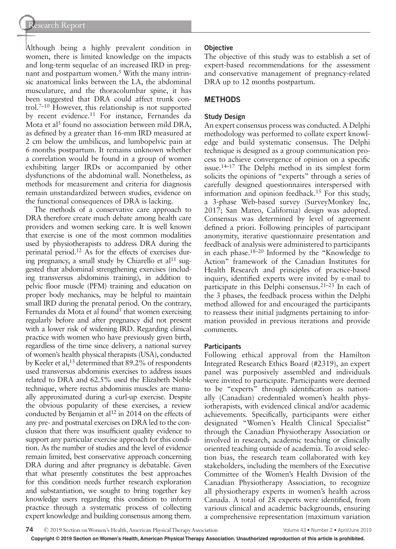Although being a highly prevalent condition in women, there is limited knowledge on the impacts and long-term sequelae of an increased IRD in pregnant and postpartum women.<sup>5</sup> With the many intrinsic anatomical links between the LA, the abdominal musculature, and the thoracolumbar spine, it has been suggested that DRA could affect trunk control.7–10 However, this relationship is not supported by recent evidence.<sup>11</sup> For instance, Fernandes da Mota et al<sup>5</sup> found no association between mild DRA, as defined by a greater than 16-mm IRD measured at 2 cm below the umbilicus, and lumbopelvic pain at 6 months postpartum. It remains unknown whether a correlation would be found in a group of women exhibiting larger IRDs or accompanied by other dysfunctions of the abdominal wall. Nonetheless, as methods for measurement and criteria for diagnosis remain unstandardized between studies, evidence on the functional consequences of DRA is lacking.

The methods of a conservative care approach to DRA therefore create much debate among health care providers and women seeking care. It is well known that exercise is one of the most common modalities used by physiotherapists to address DRA during the perinatal period.12 As for the effects of exercises during pregnancy, a small study by Chiarello et al<sup>11</sup> suggested that abdominal strengthening exercises (including transversus abdominis training), in addition to pelvic floor muscle (PFM) training and education on proper body mechanics, may be helpful to maintain small IRD during the prenatal period. On the contrary, Fernandes da Mota et al found<sup>5</sup> that women exercising regularly before and after pregnancy did not present with a lower risk of widening IRD. Regarding clinical practice with women who have previously given birth, regardless of the time since delivery, a national survey of women's health physical therapists (USA), conducted by Keeler et al,<sup>13</sup> determined that 89.2% of respondents used transversus abdominis exercises to address issues related to DRA and 62.5% used the Elizabeth Noble technique, where rectus abdominis muscles are manually approximated during a curl-up exercise. Despite the obvious popularity of these exercises, a review conducted by Benjamin et al<sup>12</sup> in 2014 on the effects of any pre- and postnatal exercises on DRA led to the conclusion that there was insufficient quality evidence to support any particular exercise approach for this condition. As the number of studies and the level of evidence remain limited, best conservative approach concerning DRA during and after pregnancy is debatable. Given that what presently constitutes the best approaches for this condition needs further research exploration and substantiation, we sought to bring together key knowledge users regarding this condition to inform practice through a systematic process of collecting expert knowledge and building consensus among them.

## **Objective**

The objective of this study was to establish a set of expert-based recommendations for the assessment and conservative management of pregnancy-related DRA up to 12 months postpartum.

## **METHODS**

## **Study Design**

An expert consensus process was conducted. A Delphi methodology was performed to collate expert knowledge and build systematic consensus. The Delphi technique is designed as a group communication process to achieve convergence of opinion on a specific issue.14–17 The Delphi method in its simplest form solicits the opinions of "experts" through a series of carefully designed questionnaires interspersed with information and opinion feedback.15 For this study, a 3-phase Web-based survey (SurveyMonkey Inc, 2017; San Mateo, California) design was adopted. Consensus was determined by level of agreement defined a priori. Following principles of participant anonymity, iterative questionnaire presentation and feedback of analysis were administered to participants in each phase.18–20 Informed by the "Knowledge to Action" framework of the Canadian Institutes for Health Research and principles of practice-based inquiry, identified experts were invited by e-mail to participate in this Delphi consensus.21–23 In each of the 3 phases, the feedback process within the Delphi method allowed for and encouraged the participants to reassess their initial judgments pertaining to information provided in previous iterations and provide comments.

## **Participants**

Following ethical approval from the Hamilton Integrated Research Ethics Board (#2319), an expert panel was purposively assembled and individuals were invited to participate. Participants were deemed to be "experts" through identification as nationally (Canadian) credentialed women's health physiotherapists, with evidenced clinical and/or academic achievements. Specifically, participants were either designated "Women's Health Clinical Specialist" through the Canadian Physiotherapy Association or involved in research, academic teaching or clinically oriented teaching outside of academia. To avoid selection bias, the research team collaborated with key stakeholders, including the members of the Executive Committee of the Women's Health Division of the Canadian Physiotherapy Association, to recognize all physiotherapy experts in women's health across Canada. A total of 28 experts were identified, from various clinical and academic backgrounds, ensuring a comprehensive representation (maximum variation

**74** © 2019 Section on Women's Health, American Physical Therapy Association Volume 43 • Number 2 • April/June 2019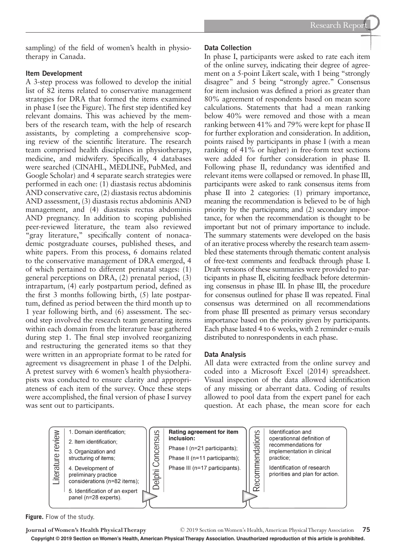sampling) of the field of women's health in physiotherapy in Canada.

## **Item Development**

A 3-step process was followed to develop the initial list of 82 items related to conservative management strategies for DRA that formed the items examined in phase I (see the Figure). The first step identified key relevant domains. This was achieved by the members of the research team, with the help of research assistants, by completing a comprehensive scoping review of the scientific literature. The research team comprised health disciplines in physiotherapy, medicine, and midwifery. Specifically, 4 databases were searched (CINAHL, MEDLINE, PubMed, and Google Scholar) and 4 separate search strategies were performed in each one: (1) diastasis rectus abdominis AND conservative care, (2) diastasis rectus abdominis AND assessment, (3) diastasis rectus abdominis AND management, and (4) diastasis rectus abdominis AND pregnancy. In addition to scoping published peer-reviewed literature, the team also reviewed "gray literature," specifically content of nonacademic postgraduate courses, published theses, and white papers. From this process, 6 domains related to the conservative management of DRA emerged, 4 of which pertained to different perinatal stages: (1) general perceptions on DRA, (2) prenatal period, (3) intrapartum, (4) early postpartum period, defined as the first 3 months following birth, (5) late postpartum, defined as period between the third month up to 1 year following birth, and (6) assessment. The second step involved the research team generating items within each domain from the literature base gathered during step 1. The final step involved reorganizing and restructuring the generated items so that they were written in an appropriate format to be rated for agreement vs disagreement in phase 1 of the Delphi. A pretest survey with 6 women's health physiotherapists was conducted to ensure clarity and appropriateness of each item of the survey. Once these steps were accomplished, the final version of phase I survey was sent out to participants.

## **Data Collection**

In phase I, participants were asked to rate each item of the online survey, indicating their degree of agreement on a 5-point Likert scale, with 1 being "strongly disagree" and 5 being "strongly agree." Consensus for item inclusion was defined a priori as greater than 80% agreement of respondents based on mean score calculations. Statements that had a mean ranking below 40% were removed and those with a mean ranking between 41% and 79% were kept for phase II for further exploration and consideration. In addition, points raised by participants in phase I (with a mean ranking of 41% or higher) in free-form text sections were added for further consideration in phase II. Following phase II, redundancy was identified and relevant items were collapsed or removed. In phase III, participants were asked to rank consensus items from phase II into 2 categories: (1) primary importance, meaning the recommendation is believed to be of high priority by the participants; and (2) secondary importance, for when the recommendation is thought to be important but not of primary importance to include. The summary statements were developed on the basis of an iterative process whereby the research team assembled these statements through thematic content analysis of free-text comments and feedback through phase I. Draft versions of these summaries were provided to participants in phase II, eliciting feedback before determining consensus in phase III. In phase III, the procedure for consensus outlined for phase II was repeated. Final consensus was determined on all recommendations from phase III presented as primary versus secondary importance based on the priority given by participants. Each phase lasted 4 to 6 weeks, with 2 reminder e-mails distributed to nonrespondents in each phase.

## **Data Analysis**

All data were extracted from the online survey and coded into a Microsoft Excel (2014) spreadsheet. Visual inspection of the data allowed identification of any missing or aberrant data. Coding of results allowed to pool data from the expert panel for each question. At each phase, the mean score for each



**Figure.** Flow of the study.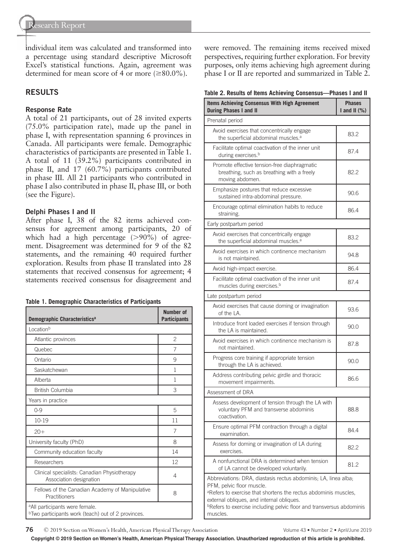individual item was calculated and transformed into a percentage using standard descriptive Microsoft Excel's statistical functions. Again, agreement was determined for mean score of 4 or more  $(\geq 80.0\%)$ .

## **RESULTS**

#### **Response Rate**

A total of 21 participants, out of 28 invited experts (75.0% participation rate), made up the panel in phase I, with representation spanning 6 provinces in Canada. All participants were female. Demographic characteristics of participants are presented in Table 1. A total of 11 (39.2%) participants contributed in phase II, and 17 (60.7%) participants contributed in phase III. All 21 participants who contributed in phase I also contributed in phase II, phase III, or both (see the Figure).

#### **Delphi Phases I and II**

After phase I, 38 of the 82 items achieved consensus for agreement among participants, 20 of which had a high percentage  $(>90\%)$  of agreement. Disagreement was determined for 9 of the 82 statements, and the remaining 40 required further exploration. Results from phase II translated into 28 statements that received consensus for agreement; 4 statements received consensus for disagreement and

|  |  |  | Table 1. Demographic Characteristics of Participants |  |  |
|--|--|--|------------------------------------------------------|--|--|
|--|--|--|------------------------------------------------------|--|--|

| Demographic Characteristics <sup>a</sup>                                                                     | Number of<br><b>Participants</b> |  |  |  |
|--------------------------------------------------------------------------------------------------------------|----------------------------------|--|--|--|
| Locationb                                                                                                    |                                  |  |  |  |
| Atlantic provinces                                                                                           | $\overline{c}$                   |  |  |  |
| Quebec                                                                                                       | 7                                |  |  |  |
| Ontario                                                                                                      | 9                                |  |  |  |
| Saskatchewan                                                                                                 | 1                                |  |  |  |
| Alberta                                                                                                      | 1                                |  |  |  |
| British Columbia                                                                                             | 3                                |  |  |  |
| Years in practice                                                                                            |                                  |  |  |  |
| $0 - 9$                                                                                                      | 5                                |  |  |  |
| $10-19$                                                                                                      | 11                               |  |  |  |
| $20+$                                                                                                        | 7                                |  |  |  |
| University faculty (PhD)                                                                                     | 8                                |  |  |  |
| Community education faculty                                                                                  | 14                               |  |  |  |
| Researchers                                                                                                  | 12                               |  |  |  |
| Clinical specialists: Canadian Physiotherapy<br>Association designation                                      | 4                                |  |  |  |
| Fellows of the Canadian Academy of Manipulative<br>Practitioners                                             | 8                                |  |  |  |
| <sup>a</sup> All participants were female.<br><sup>b</sup> Two participants work (teach) out of 2 provinces. |                                  |  |  |  |

were removed. The remaining items received mixed perspectives, requiring further exploration. For brevity purposes, only items achieving high agreement during phase I or II are reported and summarized in Table 2.

**Table 2. Results of Items Achieving Consensus—Phases I and II**

| Items Achieving Consensus With High Agreement<br><b>During Phases I and II</b>                                                                                                                                                                                                                          | <b>Phases</b><br>I and II $(\%)$ |  |  |  |  |
|---------------------------------------------------------------------------------------------------------------------------------------------------------------------------------------------------------------------------------------------------------------------------------------------------------|----------------------------------|--|--|--|--|
| Prenatal period                                                                                                                                                                                                                                                                                         |                                  |  |  |  |  |
| Avoid exercises that concentrically engage<br>the superficial abdominal muscles. <sup>a</sup>                                                                                                                                                                                                           | 83.2                             |  |  |  |  |
| Facilitate optimal coactivation of the inner unit<br>during exercises. <sup>b</sup>                                                                                                                                                                                                                     | 87.4                             |  |  |  |  |
| Promote effective tension-free diaphragmatic<br>breathing, such as breathing with a freely<br>moving abdomen.                                                                                                                                                                                           | 82.2                             |  |  |  |  |
| Emphasize postures that reduce excessive<br>sustained intra-abdominal pressure.                                                                                                                                                                                                                         | 90.6                             |  |  |  |  |
| Encourage optimal elimination habits to reduce<br>straining.                                                                                                                                                                                                                                            | 86.4                             |  |  |  |  |
| Early postpartum period                                                                                                                                                                                                                                                                                 |                                  |  |  |  |  |
| Avoid exercises that concentrically engage<br>the superficial abdominal muscles. <sup>a</sup>                                                                                                                                                                                                           | 83.2                             |  |  |  |  |
| Avoid exercises in which continence mechanism<br>is not maintained.                                                                                                                                                                                                                                     | 94.8                             |  |  |  |  |
| Avoid high-impact exercise.                                                                                                                                                                                                                                                                             | 86.4                             |  |  |  |  |
| Facilitate optimal coactivation of the inner unit<br>muscles during exercises. <sup>b</sup>                                                                                                                                                                                                             | 87.4                             |  |  |  |  |
| Late postpartum period                                                                                                                                                                                                                                                                                  |                                  |  |  |  |  |
| Avoid exercises that cause doming or invagination<br>of the LA.                                                                                                                                                                                                                                         | 93.6                             |  |  |  |  |
| Introduce front loaded exercises if tension through<br>the LA is maintained.                                                                                                                                                                                                                            | 90.0                             |  |  |  |  |
| Avoid exercises in which continence mechanism is<br>not maintained.                                                                                                                                                                                                                                     | 87.8                             |  |  |  |  |
| Progress core training if appropriate tension<br>through the LA is achieved.                                                                                                                                                                                                                            | 90.0                             |  |  |  |  |
| Address contributing pelvic girdle and thoracic<br>movement impairments.                                                                                                                                                                                                                                | 86.6                             |  |  |  |  |
| Assessment of DRA                                                                                                                                                                                                                                                                                       |                                  |  |  |  |  |
| Assess development of tension through the LA with<br>voluntary PFM and transverse abdominis<br>coactivation.                                                                                                                                                                                            | 88.8                             |  |  |  |  |
| Ensure optimal PFM contraction through a digital<br>examination.                                                                                                                                                                                                                                        | 84.4                             |  |  |  |  |
| Assess for doming or invagination of LA during<br>exercises.                                                                                                                                                                                                                                            | 82.2                             |  |  |  |  |
| A nonfunctional DRA is determined when tension<br>of LA cannot be developed voluntarily.                                                                                                                                                                                                                | 81.2                             |  |  |  |  |
| Abbreviations: DRA, diastasis rectus abdominis; LA, linea alba;<br>PFM, pelvic floor muscle.<br>aRefers to exercise that shortens the rectus abdominis muscles,<br>external obliques, and internal obliques.<br><b>bRefers to exercise including pelvic floor and transversus abdominis</b><br>muscles. |                                  |  |  |  |  |

**76** © 2019 Section on Women's Health, American Physical Therapy Association Volume 43 • Number 2 • April/June 2019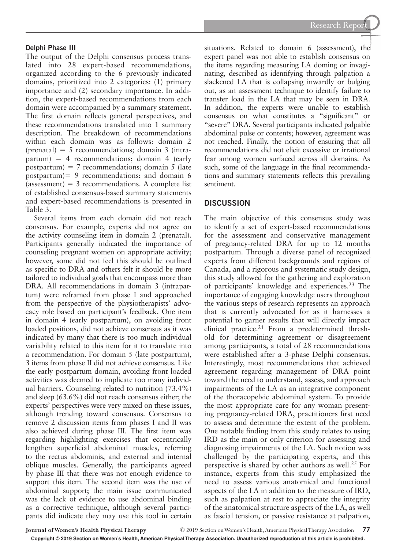#### **Delphi Phase III**

The output of the Delphi consensus process translated into 28 expert-based recommendations, organized according to the 6 previously indicated domains, prioritized into 2 categories: (1) primary importance and (2) secondary importance. In addition, the expert-based recommendations from each domain were accompanied by a summary statement. The first domain reflects general perspectives, and these recommendations translated into 1 summary description. The breakdown of recommendations within each domain was as follows: domain 2  $(prenatal) = 5$  recommendations; domain 3 (intra $partum$ ) = 4 recommendations; domain 4 (early postpartum) = 7 recommendations; domain 5 (late postpartum)= 9 recommendations; and domain 6  $(\text{assessment}) = 3$  recommendations. A complete list of established consensus-based summary statements and expert-based recommendations is presented in Table 3.

Several items from each domain did not reach consensus. For example, experts did not agree on the activity counseling item in domain 2 (prenatal). Participants generally indicated the importance of counseling pregnant women on appropriate activity; however, some did not feel this should be outlined as specific to DRA and others felt it should be more tailored to individual goals that encompass more than DRA. All recommendations in domain 3 (intrapartum) were reframed from phase I and approached from the perspective of the physiotherapists' advocacy role based on participant's feedback. One item in domain 4 (early postpartum), on avoiding front loaded positions, did not achieve consensus as it was indicated by many that there is too much individual variability related to this item for it to translate into a recommendation. For domain 5 (late postpartum), 3 items from phase II did not achieve consensus. Like the early postpartum domain, avoiding front loaded activities was deemed to implicate too many individual barriers. Counseling related to nutrition (73.4%) and sleep (63.6%) did not reach consensus either; the experts' perspectives were very mixed on these issues, although trending toward consensus. Consensus to remove 2 discussion items from phases I and II was also achieved during phase III. The first item was regarding highlighting exercises that eccentrically lengthen superficial abdominal muscles, referring to the rectus abdominis, and external and internal oblique muscles. Generally, the participants agreed by phase III that there was not enough evidence to support this item. The second item was the use of abdominal support; the main issue communicated was the lack of evidence to use abdominal binding as a corrective technique, although several participants did indicate they may use this tool in certain

situations. Related to domain 6 (assessment), the expert panel was not able to establish consensus on the items regarding measuring LA doming or invaginating, described as identifying through palpation a slackened LA that is collapsing inwardly or bulging out, as an assessment technique to identify failure to transfer load in the LA that may be seen in DRA. In addition, the experts were unable to establish consensus on what constitutes a "significant" or "severe" DRA. Several participants indicated palpable abdominal pulse or contents; however, agreement was not reached. Finally, the notion of ensuring that all recommendations did not elicit excessive or irrational fear among women surfaced across all domains. As such, some of the language in the final recommendations and summary statements reflects this prevailing sentiment.

#### **DISCUSSION**

The main objective of this consensus study was to identify a set of expert-based recommendations for the assessment and conservative management of pregnancy-related DRA for up to 12 months postpartum. Through a diverse panel of recognized experts from different backgrounds and regions of Canada, and a rigorous and systematic study design, this study allowed for the gathering and exploration of participants' knowledge and experiences.<sup>23</sup> The importance of engaging knowledge users throughout the various steps of research represents an approach that is currently advocated for as it harnesses a potential to garner results that will directly impact clinical practice.<sup>21</sup> From a predetermined threshold for determining agreement or disagreement among participants, a total of 28 recommendations were established after a 3-phase Delphi consensus. Interestingly, most recommendations that achieved agreement regarding management of DRA point toward the need to understand, assess, and approach impairments of the LA as an integrative component of the thoracopelvic abdominal system. To provide the most appropriate care for any woman presenting pregnancy-related DRA, practitioners first need to assess and determine the extent of the problem. One notable finding from this study relates to using IRD as the main or only criterion for assessing and diagnosing impairments of the LA. Such notion was challenged by the participating experts, and this perspective is shared by other authors as well.25 For instance, experts from this study emphasized the need to assess various anatomical and functional aspects of the LA in addition to the measure of IRD, such as palpation at rest to appreciate the integrity of the anatomical structure aspects of the LA, as well as fascial tension, or passive resistance at palpation,

**Journal of Women's Health Physical Therapy** © 2019 Section on Women's Health, American Physical Therapy Association **77**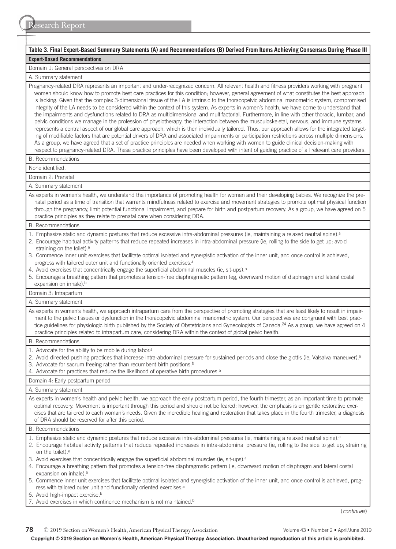| Table 3. Final Expert-Based Summary Statements (A) and Recommendations (B) Derived From Items Achieving Consensus During Phase III                                                                                                                                                                                                                                                                                                                                                                                                                                                                                                                                                                                                                                                                                                                                                                                                                                                                                                                                                                                                                                                                                                                                                                                                                                                                                                                                                          |  |  |  |  |  |
|---------------------------------------------------------------------------------------------------------------------------------------------------------------------------------------------------------------------------------------------------------------------------------------------------------------------------------------------------------------------------------------------------------------------------------------------------------------------------------------------------------------------------------------------------------------------------------------------------------------------------------------------------------------------------------------------------------------------------------------------------------------------------------------------------------------------------------------------------------------------------------------------------------------------------------------------------------------------------------------------------------------------------------------------------------------------------------------------------------------------------------------------------------------------------------------------------------------------------------------------------------------------------------------------------------------------------------------------------------------------------------------------------------------------------------------------------------------------------------------------|--|--|--|--|--|
| <b>Expert-Based Recommendations</b>                                                                                                                                                                                                                                                                                                                                                                                                                                                                                                                                                                                                                                                                                                                                                                                                                                                                                                                                                                                                                                                                                                                                                                                                                                                                                                                                                                                                                                                         |  |  |  |  |  |
| Domain 1: General perspectives on DRA                                                                                                                                                                                                                                                                                                                                                                                                                                                                                                                                                                                                                                                                                                                                                                                                                                                                                                                                                                                                                                                                                                                                                                                                                                                                                                                                                                                                                                                       |  |  |  |  |  |
| A. Summary statement                                                                                                                                                                                                                                                                                                                                                                                                                                                                                                                                                                                                                                                                                                                                                                                                                                                                                                                                                                                                                                                                                                                                                                                                                                                                                                                                                                                                                                                                        |  |  |  |  |  |
| Pregnancy-related DRA represents an important and under-recognized concern. All relevant health and fitness providers working with pregnant<br>women should know how to promote best care practices for this condition; however, general agreement of what constitutes the best approach<br>is lacking. Given that the complex 3-dimensional tissue of the LA is intrinsic to the thoracopelvic abdominal manometric system, compromised<br>integrity of the LA needs to be considered within the context of this system. As experts in women's health, we have come to understand that<br>the impairments and dysfunctions related to DRA as multidimensional and multifactorial. Furthermore, in line with other thoracic, lumbar, and<br>pelvic conditions we manage in the profession of physiotherapy, the interaction between the musculoskeletal, nervous, and immune systems<br>represents a central aspect of our global care approach, which is then individually tailored. Thus, our approach allows for the integrated target-<br>ing of modifiable factors that are potential drivers of DRA and associated impairments or participation restrictions across multiple dimensions.<br>As a group, we have agreed that a set of practice principles are needed when working with women to guide clinical decision-making with<br>respect to pregnancy-related DRA. These practice principles have been developed with intent of guiding practice of all relevant care providers. |  |  |  |  |  |
| B. Recommendations                                                                                                                                                                                                                                                                                                                                                                                                                                                                                                                                                                                                                                                                                                                                                                                                                                                                                                                                                                                                                                                                                                                                                                                                                                                                                                                                                                                                                                                                          |  |  |  |  |  |
| None identified.                                                                                                                                                                                                                                                                                                                                                                                                                                                                                                                                                                                                                                                                                                                                                                                                                                                                                                                                                                                                                                                                                                                                                                                                                                                                                                                                                                                                                                                                            |  |  |  |  |  |
| Domain 2: Prenatal                                                                                                                                                                                                                                                                                                                                                                                                                                                                                                                                                                                                                                                                                                                                                                                                                                                                                                                                                                                                                                                                                                                                                                                                                                                                                                                                                                                                                                                                          |  |  |  |  |  |
| A. Summary statement                                                                                                                                                                                                                                                                                                                                                                                                                                                                                                                                                                                                                                                                                                                                                                                                                                                                                                                                                                                                                                                                                                                                                                                                                                                                                                                                                                                                                                                                        |  |  |  |  |  |
| As experts in women's health, we understand the importance of promoting health for women and their developing babies. We recognize the pre-<br>natal period as a time of transition that warrants mindfulness related to exercise and movement strategies to promote optimal physical function<br>through the pregnancy, limit potential functional impairment, and prepare for birth and postpartum recovery. As a group, we have agreed on 5<br>practice principles as they relate to prenatal care when considering DRA.                                                                                                                                                                                                                                                                                                                                                                                                                                                                                                                                                                                                                                                                                                                                                                                                                                                                                                                                                                 |  |  |  |  |  |
| B. Recommendations                                                                                                                                                                                                                                                                                                                                                                                                                                                                                                                                                                                                                                                                                                                                                                                                                                                                                                                                                                                                                                                                                                                                                                                                                                                                                                                                                                                                                                                                          |  |  |  |  |  |
| 1. Emphasize static and dynamic postures that reduce excessive intra-abdominal pressures (ie, maintaining a relaxed neutral spine). <sup>a</sup><br>2. Encourage habitual activity patterns that reduce repeated increases in intra-abdominal pressure (ie, rolling to the side to get up; avoid<br>straining on the toilet). <sup>a</sup><br>3. Commence inner unit exercises that facilitate optimal isolated and synergistic activation of the inner unit, and once control is achieved,<br>progress with tailored outer unit and functionally oriented exercises. <sup>a</sup><br>4. Avoid exercises that concentrically engage the superficial abdominal muscles (ie, sit-ups). <sup>b</sup><br>5. Encourage a breathing pattern that promotes a tension-free diaphragmatic pattern (eg, downward motion of diaphragm and lateral costal<br>expansion on inhale). <sup>b</sup>                                                                                                                                                                                                                                                                                                                                                                                                                                                                                                                                                                                                         |  |  |  |  |  |
|                                                                                                                                                                                                                                                                                                                                                                                                                                                                                                                                                                                                                                                                                                                                                                                                                                                                                                                                                                                                                                                                                                                                                                                                                                                                                                                                                                                                                                                                                             |  |  |  |  |  |
| Domain 3: Intrapartum                                                                                                                                                                                                                                                                                                                                                                                                                                                                                                                                                                                                                                                                                                                                                                                                                                                                                                                                                                                                                                                                                                                                                                                                                                                                                                                                                                                                                                                                       |  |  |  |  |  |
| A. Summary statement                                                                                                                                                                                                                                                                                                                                                                                                                                                                                                                                                                                                                                                                                                                                                                                                                                                                                                                                                                                                                                                                                                                                                                                                                                                                                                                                                                                                                                                                        |  |  |  |  |  |
| As experts in women's health, we approach intrapartum care from the perspective of promoting strategies that are least likely to result in impair-<br>ment to the pelvic tissues or dysfunction in the thoracopelvic abdominal manometric system. Our perspectives are congruent with best prac-<br>tice guidelines for physiologic birth published by the Society of Obstetricians and Gynecologists of Canada. <sup>24</sup> As a group, we have agreed on 4<br>practice principles related to intrapartum care, considering DRA within the context of global pelvic health.                                                                                                                                                                                                                                                                                                                                                                                                                                                                                                                                                                                                                                                                                                                                                                                                                                                                                                              |  |  |  |  |  |
| B. Recommendations                                                                                                                                                                                                                                                                                                                                                                                                                                                                                                                                                                                                                                                                                                                                                                                                                                                                                                                                                                                                                                                                                                                                                                                                                                                                                                                                                                                                                                                                          |  |  |  |  |  |
| 1. Advocate for the ability to be mobile during labor. <sup>a</sup><br>2. Avoid directed pushing practices that increase intra-abdominal pressure for sustained periods and close the glottis (ie, Valsalva maneuver). <sup>a</sup><br>3. Advocate for sacrum freeing rather than recumbent birth positions. <sup>b</sup><br>4. Advocate for practices that reduce the likelihood of operative birth procedures. <sup>b</sup>                                                                                                                                                                                                                                                                                                                                                                                                                                                                                                                                                                                                                                                                                                                                                                                                                                                                                                                                                                                                                                                               |  |  |  |  |  |
| Domain 4: Early postpartum period                                                                                                                                                                                                                                                                                                                                                                                                                                                                                                                                                                                                                                                                                                                                                                                                                                                                                                                                                                                                                                                                                                                                                                                                                                                                                                                                                                                                                                                           |  |  |  |  |  |
| A. Summary statement                                                                                                                                                                                                                                                                                                                                                                                                                                                                                                                                                                                                                                                                                                                                                                                                                                                                                                                                                                                                                                                                                                                                                                                                                                                                                                                                                                                                                                                                        |  |  |  |  |  |
| As experts in women's health and pelvic health, we approach the early postpartum period, the fourth trimester, as an important time to promote<br>optimal recovery. Movement is important through this period and should not be feared; however, the emphasis is on gentle restorative exer-<br>cises that are tailored to each woman's needs. Given the incredible healing and restoration that takes place in the fourth trimester, a diagnosis<br>of DRA should be reserved for after this period.                                                                                                                                                                                                                                                                                                                                                                                                                                                                                                                                                                                                                                                                                                                                                                                                                                                                                                                                                                                       |  |  |  |  |  |
| <b>B.</b> Recommendations                                                                                                                                                                                                                                                                                                                                                                                                                                                                                                                                                                                                                                                                                                                                                                                                                                                                                                                                                                                                                                                                                                                                                                                                                                                                                                                                                                                                                                                                   |  |  |  |  |  |
| 1. Emphasize static and dynamic postures that reduce excessive intra-abdominal pressures (ie, maintaining a relaxed neutral spine). <sup>a</sup><br>2. Encourage habitual activity patterns that reduce repeated increases in intra-abdominal pressure (ie, rolling to the side to get up; straining<br>on the toilet). <sup>a</sup><br>3. Avoid exercises that concentrically engage the superficial abdominal muscles (ie, sit-ups). <sup>a</sup>                                                                                                                                                                                                                                                                                                                                                                                                                                                                                                                                                                                                                                                                                                                                                                                                                                                                                                                                                                                                                                         |  |  |  |  |  |
| 4. Encourage a breathing pattern that promotes a tension-free diaphragmatic pattern (ie, downward motion of diaphragm and lateral costal<br>expansion on inhale). <sup>a</sup><br>5. Commence inner unit exercises that facilitate optimal isolated and synergistic activation of the inner unit, and once control is achieved, prog-                                                                                                                                                                                                                                                                                                                                                                                                                                                                                                                                                                                                                                                                                                                                                                                                                                                                                                                                                                                                                                                                                                                                                       |  |  |  |  |  |
| ress with tailored outer unit and functionally oriented exercises. <sup>a</sup><br>6. Avoid high-impact exercise. <sup>b</sup><br>7. Avoid exercises in which continence mechanism is not maintained. <sup>b</sup>                                                                                                                                                                                                                                                                                                                                                                                                                                                                                                                                                                                                                                                                                                                                                                                                                                                                                                                                                                                                                                                                                                                                                                                                                                                                          |  |  |  |  |  |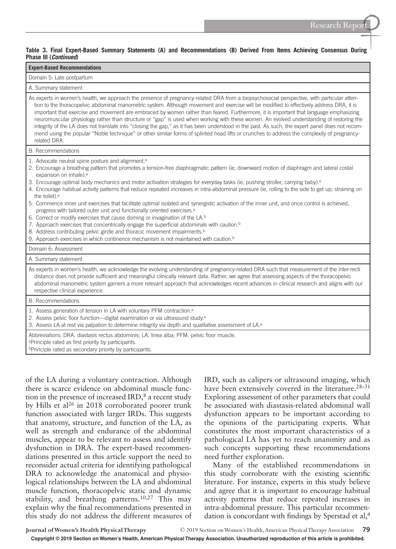#### **Table 3. Final Expert-Based Summary Statements (A) and Recommendations (B) Derived From Items Achieving Consensus During Phase III (***Continued***)**

| <b>Expert-Based Recommendations</b>                                                                                                                                                                                                                                                                                                                                                                                                                                                                                                                                                                                                                                                                                                                                                                                                                                                                                                                                                                                                                                                                                                                                                                                          |  |  |  |  |  |
|------------------------------------------------------------------------------------------------------------------------------------------------------------------------------------------------------------------------------------------------------------------------------------------------------------------------------------------------------------------------------------------------------------------------------------------------------------------------------------------------------------------------------------------------------------------------------------------------------------------------------------------------------------------------------------------------------------------------------------------------------------------------------------------------------------------------------------------------------------------------------------------------------------------------------------------------------------------------------------------------------------------------------------------------------------------------------------------------------------------------------------------------------------------------------------------------------------------------------|--|--|--|--|--|
| Domain 5: Late postpartum                                                                                                                                                                                                                                                                                                                                                                                                                                                                                                                                                                                                                                                                                                                                                                                                                                                                                                                                                                                                                                                                                                                                                                                                    |  |  |  |  |  |
| A. Summary statement                                                                                                                                                                                                                                                                                                                                                                                                                                                                                                                                                                                                                                                                                                                                                                                                                                                                                                                                                                                                                                                                                                                                                                                                         |  |  |  |  |  |
| As experts in women's health, we approach the presence of pregnancy-related DRA from a biopsychosocial perspective, with particular atten-<br>tion to the thoracopelvic abdominal manometric system. Although movement and exercise will be modified to effectively address DRA, it is<br>important that exercise and movement are embraced by women rather than feared. Furthermore, it is important that language emphasizing<br>neuromuscular physiology rather than structure or "gap" is used when working with these women. An evolved understanding of restoring the<br>integrity of the LA does not translate into "closing the gap," as it has been understood in the past. As such, the expert panel does not recom-<br>mend using the popular "Noble technique" or other similar forms of splinted head lifts or crunches to address the complexity of pregnancy-<br>related DRA.                                                                                                                                                                                                                                                                                                                                 |  |  |  |  |  |
| B. Recommendations                                                                                                                                                                                                                                                                                                                                                                                                                                                                                                                                                                                                                                                                                                                                                                                                                                                                                                                                                                                                                                                                                                                                                                                                           |  |  |  |  |  |
| 1. Advocate neutral spine posture and alignment. <sup>a</sup><br>2. Encourage a breathing pattern that promotes a tension-free diaphragmatic pattern (ie, downward motion of diaphragm and lateral costal<br>expansion on inhale). <sup>a</sup><br>3. Encourage optimal body mechanics and motor activation strategies for everyday tasks (ie, pushing stroller, carrying baby). <sup>a</sup><br>4. Encourage habitual activity patterns that reduce repeated increases in intra-abdominal pressure (ie, rolling to the side to get up; straining on<br>the toilet). <sup>a</sup><br>5. Commence inner unit exercises that facilitate optimal isolated and synergistic activation of the inner unit, and once control is achieved,<br>progress with tailored outer unit and functionally oriented exercises. <sup>a</sup><br>6. Correct or modify exercises that cause doming or invagination of the LA. <sup>b</sup><br>7. Approach exercises that concentrically engage the superficial abdominals with caution. <sup>b</sup><br>8. Address contributing pelvic girdle and thoracic movement impairments. <sup>b</sup><br>9. Approach exercises in which continence mechanism is not maintained with caution. <sup>b</sup> |  |  |  |  |  |
| Domain 6: Assessment                                                                                                                                                                                                                                                                                                                                                                                                                                                                                                                                                                                                                                                                                                                                                                                                                                                                                                                                                                                                                                                                                                                                                                                                         |  |  |  |  |  |
| A. Summary statement<br>As experts in women's health, we acknowledge the evolving understanding of pregnancy-related DRA such that measurement of the inter-recti<br>distance does not provide sufficient and meaningful clinically relevant data. Rather, we agree that assessing aspects of the thoracopelvic<br>abdominal manometric system garners a more relevant approach that acknowledges recent advances in clinical research and aligns with our<br>respective clinical experience.                                                                                                                                                                                                                                                                                                                                                                                                                                                                                                                                                                                                                                                                                                                                |  |  |  |  |  |
| B. Recommendations                                                                                                                                                                                                                                                                                                                                                                                                                                                                                                                                                                                                                                                                                                                                                                                                                                                                                                                                                                                                                                                                                                                                                                                                           |  |  |  |  |  |
| 1. Assess generation of tension in LA with voluntary PFM contraction. <sup>a</sup><br>2. Assess pelvic floor function-digital examination or via ultrasound study. <sup>a</sup><br>3. Assess LA at rest via palpation to determine integrity via depth and qualitative assessment of LA. <sup>a</sup>                                                                                                                                                                                                                                                                                                                                                                                                                                                                                                                                                                                                                                                                                                                                                                                                                                                                                                                        |  |  |  |  |  |
| Abbreviations: DRA, diastasis rectus abdominis; LA, linea alba; PFM, pelvic floor muscle.<br><sup>a</sup> Principle rated as first priority by participants.<br><b>Principle rated as secondary priority by participants.</b>                                                                                                                                                                                                                                                                                                                                                                                                                                                                                                                                                                                                                                                                                                                                                                                                                                                                                                                                                                                                |  |  |  |  |  |

of the LA during a voluntary contraction. Although there is scarce evidence on abdominal muscle function in the presence of increased IRD, $\delta$  a recent study by Hills et al<sup>26</sup> in 2018 corroborated poorer trunk function associated with larger IRDs. This suggests that anatomy, structure, and function of the LA, as well as strength and endurance of the abdominal muscles, appear to be relevant to assess and identify dysfunction in DRA. The expert-based recommendations presented in this article support the need to reconsider actual criteria for identifying pathological DRA to acknowledge the anatomical and physiological relationships between the LA and abdominal muscle function, thoracopelvic static and dynamic stability, and breathing patterns.<sup>10,27</sup> This may explain why the final recommendations presented in this study do not address the different measures of IRD, such as calipers or ultrasound imaging, which have been extensively covered in the literature.<sup>28–31</sup> Exploring assessment of other parameters that could be associated with diastasis-related abdominal wall dysfunction appears to be important according to the opinions of the participating experts. What constitutes the most important characteristics of a pathological LA has yet to reach unanimity and as such concepts supporting these recommendations need further exploration.

Many of the established recommendations in this study corroborate with the existing scientific literature. For instance, experts in this study believe and agree that it is important to encourage habitual activity patterns that reduce repeated increases in intra-abdominal pressure. This particular recommendation is concordant with findings by Sperstad et al,<sup>4</sup>

**Copyright © 2019 Section on Women's Health, American Physical Therapy Association. Unauthorized reproduction of this article is prohibited.**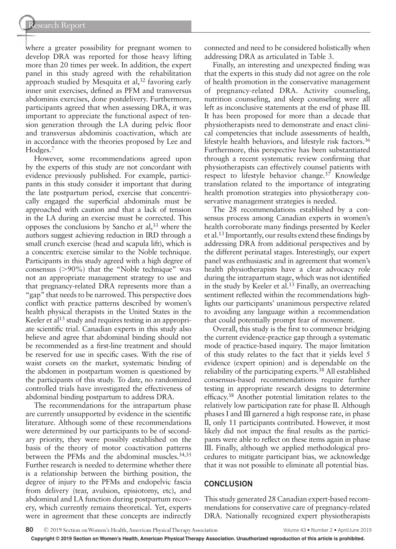where a greater possibility for pregnant women to develop DRA was reported for those heavy lifting more than 20 times per week. In addition, the expert panel in this study agreed with the rehabilitation approach studied by Mesquita et al,  $32$  favoring early inner unit exercises, defined as PFM and transversus abdominis exercises, done postdelivery. Furthermore, participants agreed that when assessing DRA, it was important to appreciate the functional aspect of tension generation through the LA during pelvic floor and transversus abdominis coactivation, which are in accordance with the theories proposed by Lee and Hodges.7

However, some recommendations agreed upon by the experts of this study are not concordant with evidence previously published. For example, participants in this study consider it important that during the late postpartum period, exercise that concentrically engaged the superficial abdominals must be approached with caution and that a lack of tension in the LA during an exercise must be corrected. This opposes the conclusions by Sancho et  $al$ ,  $33$  where the authors suggest achieving reduction in IRD through a small crunch exercise (head and scapula lift), which is a concentric exercise similar to the Noble technique. Participants in this study agreed with a high degree of consensus  $(>90\%)$  that the "Noble technique" was not an appropriate management strategy to use and that pregnancy-related DRA represents more than a "gap" that needs to be narrowed. This perspective does conflict with practice patterns described by women's health physical therapists in the United States in the Keeler et al<sup>13</sup> study and requires testing in an appropriate scientific trial. Canadian experts in this study also believe and agree that abdominal binding should not be recommended as a first-line treatment and should be reserved for use in specific cases. With the rise of waist corsets on the market, systematic binding of the abdomen in postpartum women is questioned by the participants of this study. To date, no randomized controlled trials have investigated the effectiveness of abdominal binding postpartum to address DRA.

The recommendations for the intrapartum phase are currently unsupported by evidence in the scientific literature. Although some of these recommendations were determined by our participants to be of secondary priority, they were possibly established on the basis of the theory of motor coactivation patterns between the PFMs and the abdominal muscles.<sup>34,35</sup> Further research is needed to determine whether there is a relationship between the birthing position, the degree of injury to the PFMs and endopelvic fascia from delivery (tear, avulsion, episiotomy, etc), and abdominal and LA function during postpartum recovery, which currently remains theoretical. Yet, experts were in agreement that these concepts are indirectly

connected and need to be considered holistically when addressing DRA as articulated in Table 3.

Finally, an interesting and unexpected finding was that the experts in this study did not agree on the role of health promotion in the conservative management of pregnancy-related DRA. Activity counseling, nutrition counseling, and sleep counseling were all left as inconclusive statements at the end of phase III. It has been proposed for more than a decade that physiotherapists need to demonstrate and enact clinical competencies that include assessments of health, lifestyle health behaviors, and lifestyle risk factors.<sup>36</sup> Furthermore, this perspective has been substantiated through a recent systematic review confirming that physiotherapists can effectively counsel patients with respect to lifestyle behavior change.<sup>37</sup> Knowledge translation related to the importance of integrating health promotion strategies into physiotherapy conservative management strategies is needed.

The 28 recommendations established by a consensus process among Canadian experts in women's health corroborate many findings presented by Keeler et al.13 Importantly, our results extend these findings by addressing DRA from additional perspectives and by the different perinatal stages. Interestingly, our expert panel was enthusiastic and in agreement that women's health physiotherapists have a clear advocacy role during the intrapartum stage, which was not identified in the study by Keeler et al.13 Finally, an overreaching sentiment reflected within the recommendations highlights our participants' unanimous perspective related to avoiding any language within a recommendation that could potentially prompt fear of movement.

Overall, this study is the first to commence bridging the current evidence-practice gap through a systematic mode of practice-based inquiry. The major limitation of this study relates to the fact that it yields level 5 evidence (expert opinion) and is dependable on the reliability of the participating experts.38 All established consensus-based recommendations require further testing in appropriate research designs to determine efficacy.38 Another potential limitation relates to the relatively low participation rate for phase II. Although phases I and III garnered a high response rate, in phase II, only 11 participants contributed. However, it most likely did not impact the final results as the participants were able to reflect on these items again in phase III. Finally, although we applied methodological procedures to mitigate participant bias, we acknowledge that it was not possible to eliminate all potential bias.

## **CONCLUSION**

This study generated 28 Canadian expert-based recommendations for conservative care of pregnancy-related DRA. Nationally recognized expert physiotherapists